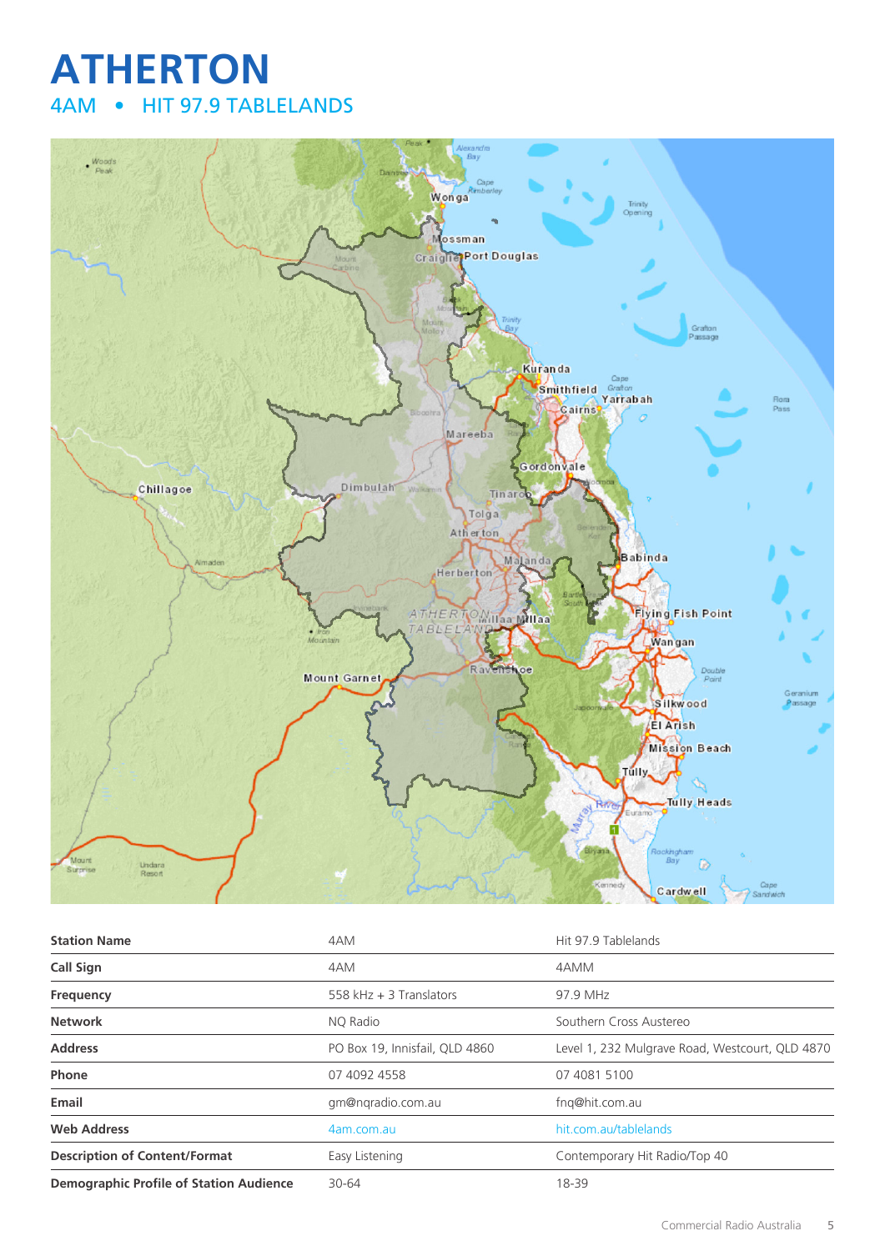## **ATHERTON** 4AM • HIT 97.9 TABLELANDS



| <b>Station Name</b>                            | 4AM                            | Hit 97.9 Tablelands                             |
|------------------------------------------------|--------------------------------|-------------------------------------------------|
| <b>Call Sign</b>                               | 4AM                            | 4AMM                                            |
| Frequency                                      | 558 kHz $+$ 3 Translators      | 97.9 MHz                                        |
| <b>Network</b>                                 | NO Radio                       | Southern Cross Austereo                         |
| <b>Address</b>                                 | PO Box 19, Innisfail, QLD 4860 | Level 1, 232 Mulgrave Road, Westcourt, QLD 4870 |
| Phone                                          | 07 4092 4558                   | 07 4081 5100                                    |
| Email                                          | gm@ngradio.com.au              | fng@hit.com.au                                  |
| <b>Web Address</b>                             | 4am.com.au                     | hit.com.au/tablelands                           |
| <b>Description of Content/Format</b>           | Easy Listening                 | Contemporary Hit Radio/Top 40                   |
| <b>Demographic Profile of Station Audience</b> | 30-64                          | 18-39                                           |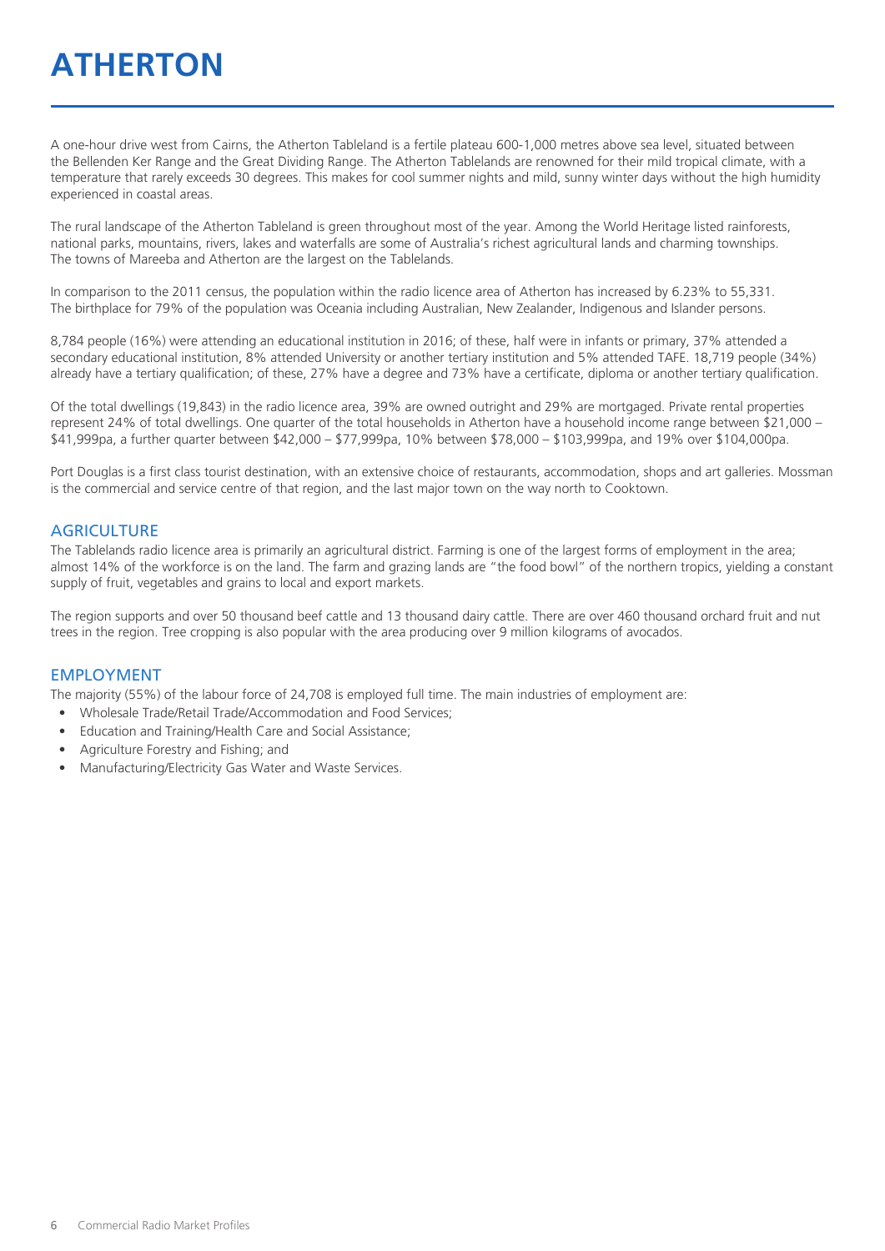## **ATHERTON**

A one-hour drive west from Cairns, the Atherton Tableland is a fertile plateau 600-1,000 metres above sea level, situated between the Bellenden Ker Range and the Great Dividing Range. The Atherton Tablelands are renowned for their mild tropical climate, with a temperature that rarely exceeds 30 degrees. This makes for cool summer nights and mild, sunny winter days without the high humidity experienced in coastal areas.

The rural landscape of the Atherton Tableland is green throughout most of the year. Among the World Heritage listed rainforests, national parks, mountains, rivers, lakes and waterfalls are some of Australia's richest agricultural lands and charming townships. The towns of Mareeba and Atherton are the largest on the Tablelands.

In comparison to the 2011 census, the population within the radio licence area of Atherton has increased by 6.23% to 55,331. The birthplace for 79% of the population was Oceania including Australian, New Zealander, Indigenous and Islander persons.

8,784 people (16%) were attending an educational institution in 2016; of these, half were in infants or primary, 37% attended a secondary educational institution, 8% attended University or another tertiary institution and 5% attended TAFE. 18,719 people (34%) already have a tertiary qualification; of these, 27% have a degree and 73% have a certificate, diploma or another tertiary qualification.

Of the total dwellings (19,843) in the radio licence area, 39% are owned outright and 29% are mortgaged. Private rental properties represent 24% of total dwellings. One quarter of the total households in Atherton have a household income range between \$21,000 – \$41,999pa, a further quarter between \$42,000 – \$77,999pa, 10% between \$78,000 – \$103,999pa, and 19% over \$104,000pa.

Port Douglas is a first class tourist destination, with an extensive choice of restaurants, accommodation, shops and art galleries. Mossman is the commercial and service centre of that region, and the last major town on the way north to Cooktown.

#### **AGRICULTURE**

The Tablelands radio licence area is primarily an agricultural district. Farming is one of the largest forms of employment in the area; almost 14% of the workforce is on the land. The farm and grazing lands are "the food bowl" of the northern tropics, yielding a constant supply of fruit, vegetables and grains to local and export markets.

The region supports and over 50 thousand beef cattle and 13 thousand dairy cattle. There are over 460 thousand orchard fruit and nut trees in the region. Tree cropping is also popular with the area producing over 9 million kilograms of avocados.

#### EMPLOYMENT

The majority (55%) of the labour force of 24,708 is employed full time. The main industries of employment are:

- Wholesale Trade/Retail Trade/Accommodation and Food Services;
- Education and Training/Health Care and Social Assistance;
- Agriculture Forestry and Fishing; and
- Manufacturing/Electricity Gas Water and Waste Services.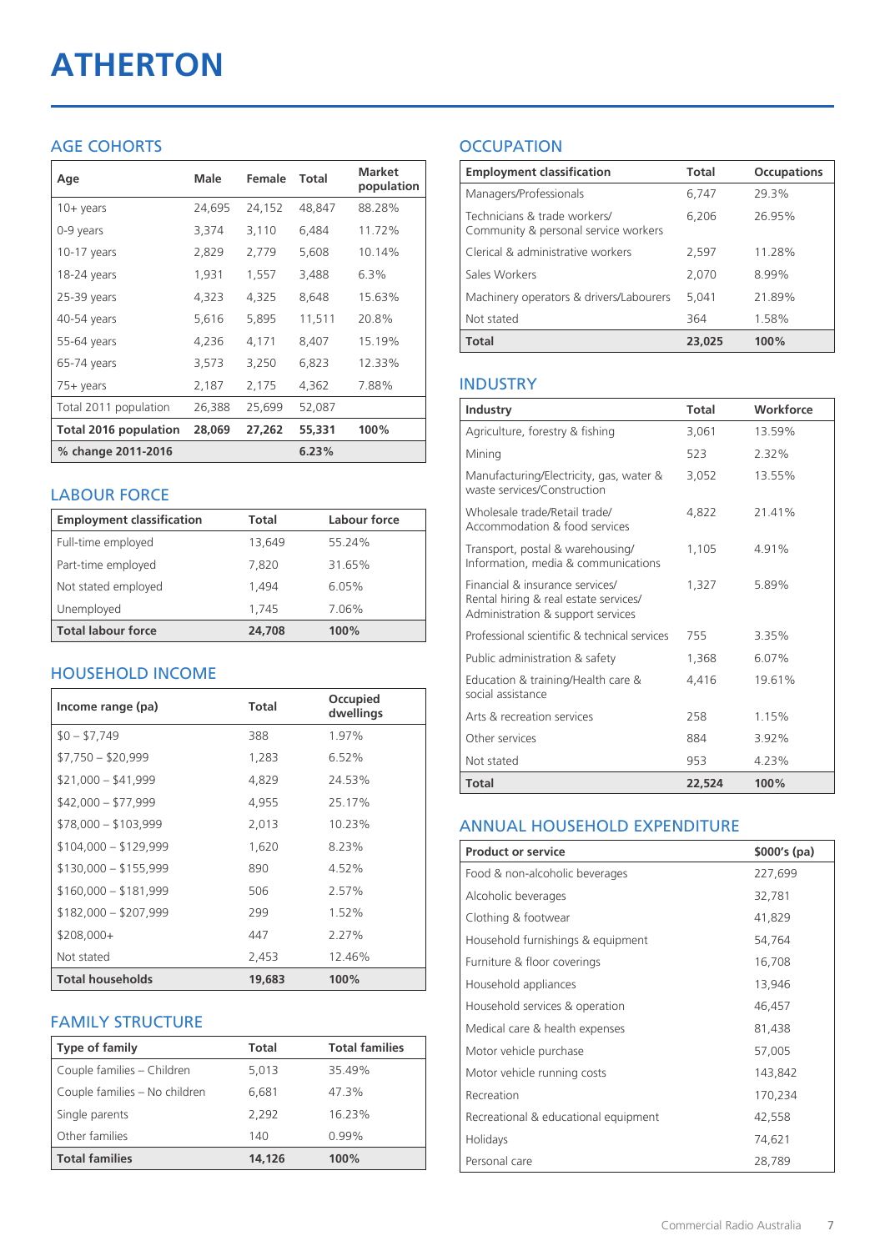# **ATHERTON**

#### AGE COHORTS

| Age                   | Male   | Female | Total  | <b>Market</b><br>population |
|-----------------------|--------|--------|--------|-----------------------------|
| $10 + \gamma$ ears    | 24,695 | 24,152 | 48,847 | 88.28%                      |
| 0-9 years             | 3,374  | 3,110  | 6,484  | 11.72%                      |
| $10-17$ years         | 2,829  | 2,779  | 5,608  | 10.14%                      |
| 18-24 years           | 1,931  | 1,557  | 3,488  | 6.3%                        |
| $25-39$ years         | 4,323  | 4,325  | 8,648  | 15.63%                      |
| 40-54 years           | 5,616  | 5,895  | 11,511 | 20.8%                       |
| 55-64 years           | 4,236  | 4,171  | 8,407  | 15.19%                      |
| 65-74 years           | 3,573  | 3,250  | 6,823  | 12.33%                      |
| 75+ years             | 2,187  | 2,175  | 4,362  | 7.88%                       |
| Total 2011 population | 26,388 | 25,699 | 52,087 |                             |
| Total 2016 population | 28,069 | 27,262 | 55,331 | 100%                        |
| % change 2011-2016    |        |        | 6.23%  |                             |

#### LABOUR FORCE

| <b>Employment classification</b> | Total  | Labour force |
|----------------------------------|--------|--------------|
| Full-time employed               | 13,649 | 55.24%       |
| Part-time employed               | 7,820  | 31.65%       |
| Not stated employed              | 1.494  | 6.05%        |
| Unemployed                       | 1.745  | 7.06%        |
| <b>Total labour force</b>        | 24,708 | 100%         |

#### HOUSEHOLD INCOME

| Income range (pa)       | Total  | Occupied<br>dwellings |
|-------------------------|--------|-----------------------|
| $$0 - $7,749$           | 388    | 1.97%                 |
| $$7,750 - $20,999$      | 1.283  | 6.52%                 |
| $$21,000 - $41,999$     | 4,829  | 24.53%                |
| $$42,000 - $77,999$     | 4,955  | 25.17%                |
| $$78,000 - $103,999$    | 2,013  | 10.23%                |
| $$104,000 - $129,999$   | 1,620  | 8.23%                 |
| $$130,000 - $155,999$   | 890    | $4.52\%$              |
| $$160,000 - $181,999$   | 506    | 2.57%                 |
| $$182,000 - $207,999$   | 299    | 1.52%                 |
| $$208,000+$             | 447    | 2.27%                 |
| Not stated              | 2,453  | 12.46%                |
| <b>Total households</b> | 19,683 | 100%                  |

#### FAMILY STRUCTURE

| <b>Type of family</b>         | <b>Total</b> | <b>Total families</b> |
|-------------------------------|--------------|-----------------------|
| Couple families - Children    | 5.013        | 35.49%                |
| Couple families - No children | 6,681        | 47.3%                 |
| Single parents                | 2.292        | 16.23%                |
| Other families                | 140          | 0.99%                 |
| <b>Total families</b>         | 14.126       | 100%                  |

### **OCCUPATION**

| <b>Employment classification</b>                                     | <b>Total</b> | <b>Occupations</b> |
|----------------------------------------------------------------------|--------------|--------------------|
| Managers/Professionals                                               | 6,747        | 29.3%              |
| Technicians & trade workers/<br>Community & personal service workers | 6,206        | 26.95%             |
| Clerical & administrative workers                                    | 2,597        | 11.28%             |
| Sales Workers                                                        | 2,070        | 8.99%              |
| Machinery operators & drivers/Labourers                              | 5.041        | 21.89%             |
| Not stated                                                           | 364          | 1.58%              |
| <b>Total</b>                                                         | 23,025       | 100%               |

#### INDUSTRY

| Industry                                                                                                      | Total  | Workforce |
|---------------------------------------------------------------------------------------------------------------|--------|-----------|
| Agriculture, forestry & fishing                                                                               | 3,061  | 13.59%    |
| Mining                                                                                                        | 523    | 2.32%     |
| Manufacturing/Electricity, gas, water &<br>waste services/Construction                                        | 3,052  | 13.55%    |
| Wholesale trade/Retail trade/<br>Accommodation & food services                                                | 4.822  | 21.41%    |
| Transport, postal & warehousing/<br>Information, media & communications                                       | 1,105  | 491%      |
| Financial & insurance services/<br>Rental hiring & real estate services/<br>Administration & support services | 1,327  | 5.89%     |
| Professional scientific & technical services                                                                  | 755    | 3.35%     |
| Public administration & safety                                                                                | 1.368  | 6.07%     |
| Education & training/Health care &<br>social assistance                                                       | 4,416  | 19.61%    |
| Arts & recreation services                                                                                    | 258    | 1.15%     |
| Other services                                                                                                | 884    | 3.92%     |
| Not stated                                                                                                    | 953    | 4.23%     |
| <b>Total</b>                                                                                                  | 22,524 | 100%      |

#### ANNUAL HOUSEHOLD EXPENDITURE

| <b>Product or service</b>            | $$000's$ (pa) |
|--------------------------------------|---------------|
| Food & non-alcoholic beverages       | 227,699       |
| Alcoholic beverages                  | 32,781        |
| Clothing & footwear                  | 41,829        |
| Household furnishings & equipment    | 54,764        |
| Furniture & floor coverings          | 16,708        |
| Household appliances                 | 13,946        |
| Household services & operation       | 46,457        |
| Medical care & health expenses       | 81,438        |
| Motor vehicle purchase               | 57,005        |
| Motor vehicle running costs          | 143,842       |
| Recreation                           | 170,234       |
| Recreational & educational equipment | 42,558        |
| Holidays                             | 74,621        |
| Personal care                        | 28,789        |